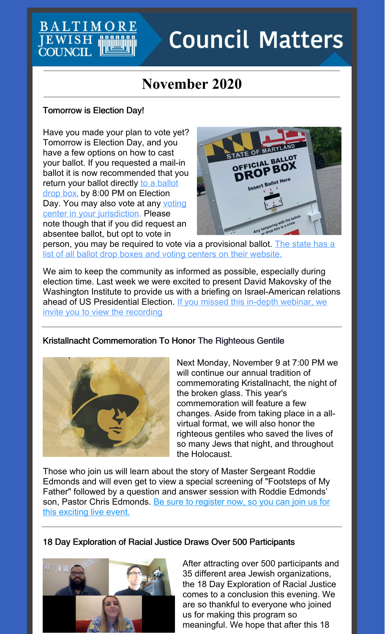# **Council Matters**

## **November 2020**

## Tomorrow is Election Day!

 $\mathsf{T} \mathbf{M}$  (

EWISE **COUNCIL** 

Have you made your plan to vote yet? Tomorrow is Election Day, and you have a few options on how to cast your ballot. If you requested a mail-in ballot it is now recommended that you return your ballot directly to a ballot drop box, by 8:00 PM on [Election](https://www.elections.maryland.gov/elections/2020/2020_lists.html) Day. You may also vote at any voting center in your [jurisdiction.](https://www.elections.maryland.gov/elections/2020/2020_lists.html) Please note though that if you did request an absentee ballot, but opt to vote in



person, you may be required to vote via a [provisional](https://elections.maryland.gov/elections/2020/index.html#vote_in_person) ballot. The state has a list of all ballot drop boxes and voting centers on their website.

We aim to keep the community as informed as possible, especially during election time. Last week we were excited to present David Makovsky of the Washington Institute to provide us with a briefing on Israel-American relations ahead of US [Presidential](https://jcfb.zoom.us/rec/share/88pXQfXdBYupYq9Lo_OFIAyKzKBbdHu0FQ2b1QuxIBtuRGsr08C_wYtlpzUPIvYe.UH9ddBFUlB-u7MIn?startTime=1603990879000) Election. If you missed this in-depth webinar, we invite you to view the recording.

## Kristallnacht Commemoration To Honor The Righteous Gentile



Next Monday, November 9 at 7:00 PM we will continue our annual tradition of commemorating Kristallnacht, the night of the broken glass. This year's commemoration will feature a few changes. Aside from taking place in a allvirtual format, we will also honor the righteous gentiles who saved the lives of so many Jews that night, and throughout the Holocaust.

Those who join us will learn about the story of Master Sergeant Roddie Edmonds and will even get to view a special screening of "Footsteps of My Father" followed by a question and answer session with Roddie Edmonds' son, Pastor Chris [Edmonds.](https://jcfb.zoom.us/webinar/register/WN_n10wHAzfQoaz7Jqdp1IAuQ) Be sure to register now, so you can join us for this exciting live event.

18 Day Exploration of Racial Justice Draws Over 500 Participants



After attracting over 500 participants and 35 different area Jewish organizations, the 18 Day Exploration of Racial Justice comes to a conclusion this evening. We are so thankful to everyone who joined us for making this program so meaningful. We hope that after this 18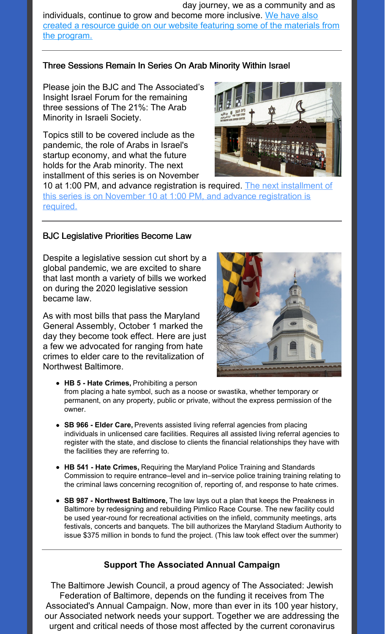day journey, we as a community and as [individuals,](https://www.baltjc.org/what-we-do/community-relations/antiracism-resources/) continue to grow and become more inclusive. We have also created a resource guide on our website featuring some of the materials from the program.

## Three Sessions Remain In Series On Arab Minority Within Israel

Please join the BJC and The Associated's Insight Israel Forum for the remaining three sessions of The 21%: The Arab Minority in Israeli Society.

Topics still to be covered include as the pandemic, the role of Arabs in Israel's startup economy, and what the future holds for the Arab minority. The next installment of this series is on November



10 at 1:00 PM, and advance [registration](https://associated.org/event/the-21-the-arab-minority-in-israeli-society/) is required. The next installment of this series is on November 10 at 1:00 PM, and advance registration is required.

#### BJC Legislative Priorities Become Law

Despite a legislative session cut short by a global pandemic, we are excited to share that last month a variety of bills we worked on during the 2020 legislative session became law.

As with most bills that pass the Maryland General Assembly, October 1 marked the day they become took effect. Here are just a few we advocated for ranging from hate crimes to elder care to the revitalization of Northwest Baltimore.



- **HB 5 - Hate Crimes,** Prohibiting a person from placing a hate symbol, such as a noose or swastika, whether temporary or permanent, on any property, public or private, without the express permission of the owner.
- **SB 966 - Elder Care,** Prevents assisted living referral agencies from placing individuals in unlicensed care facilities. Requires all assisted living referral agencies to register with the state, and disclose to clients the financial relationships they have with the facilities they are referring to.
- **HB 541 - Hate Crimes,** Requiring the Maryland Police Training and Standards Commission to require entrance–level and in–service police training training relating to the criminal laws concerning recognition of, reporting of, and response to hate crimes.
- **SB 987 - Northwest Baltimore,** The law lays out a plan that keeps the Preakness in Baltimore by redesigning and rebuilding Pimlico Race Course. The new facility could be used year-round for recreational activities on the infield, community meetings, arts festivals, concerts and banquets. The bill authorizes the Maryland Stadium Authority to issue \$375 million in bonds to fund the project. (This law took effect over the summer)

## **Support The Associated Annual Campaign**

The Baltimore Jewish Council, a proud agency of The Associated: Jewish Federation of Baltimore, depends on the funding it receives from The Associated's Annual Campaign. Now, more than ever in its 100 year history, our Associated network needs your support. Together we are addressing the urgent and critical needs of those most affected by the current coronavirus